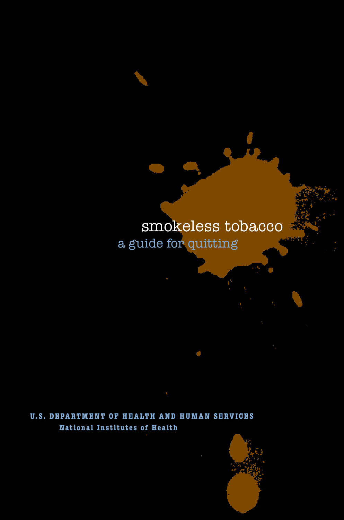#### smokeless tobacco a guide for quitting

**U.S. DEPARTMENT OF HEALTH AND HUMAN SERVICES National Institutes of Health**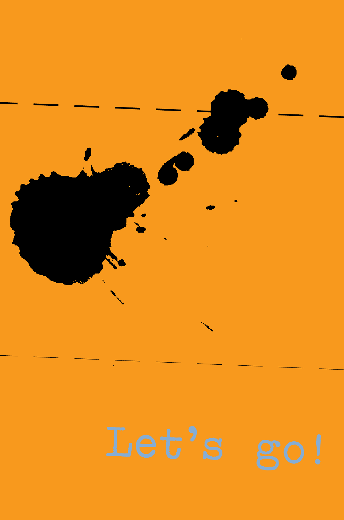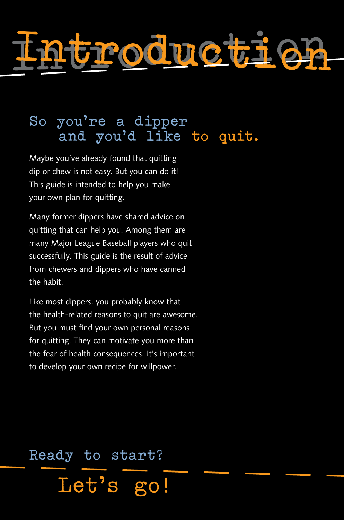## **Intro Intrduction duction**

#### **So you're a dipper and you'd like to quit.**

Maybe you've already found that quitting dip or chew is not easy. But you can do it! This guide is intended to help you make your own plan for quitting.

Many former dippers have shared advice on quitting that can help you. Among them are many Major League Baseball players who quit successfully. This guide is the result of advice from chewers and dippers who have canned the habit.

Like most dippers, you probably know that the health-related reasons to quit are awesome. But you must find your own personal reasons for quitting. They can motivate you more than the fear of health consequences. It's important to develop your own recipe for willpower.

**Ready to start? Let's go!**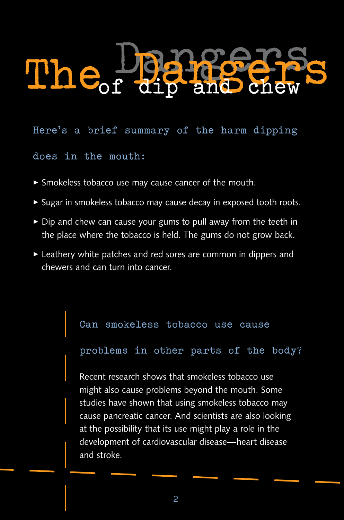# $\mathbf{D}$

**Here's a brief summary of the harm dipping does in the mouth:**

- > Smokeless tobacco use may cause cancer of the mouth.
- ► Sugar in smokeless tobacco may cause decay in exposed tooth roots.
- > Dip and chew can cause your gums to pull away from the teeth in the place where the tobacco is held. The gums do not grow back.
- > Leathery white patches and red sores are common in dippers and chewers and can turn into cancer.

**Can smokeless tobacco use cause** 

**problems in other parts of the body?**

Recent research shows that smokeless tobacco use might also cause problems beyond the mouth. Some studies have shown that using smokeless tobacco may cause pancreatic cancer. And scientists are also looking at the possibility that its use might play a role in the development of cardiovascular disease—heart disease and stroke.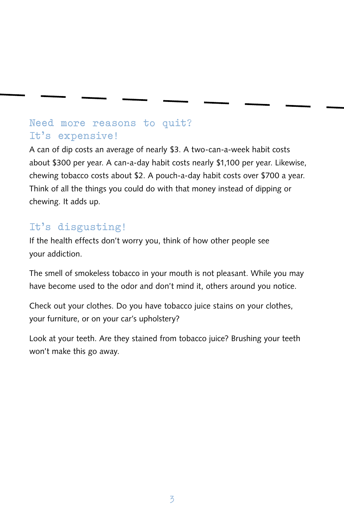#### **Need more reasons to quit? It's expensive!**

A can of dip costs an average of nearly \$3. A two-can-a-week habit costs about \$300 per year. A can-a-day habit costs nearly \$1,100 per year. Likewise, chewing tobacco costs about \$2. A pouch-a-day habit costs over \$700 a year. Think of all the things you could do with that money instead of dipping or chewing. It adds up.

#### **It's disgusting!**

If the health effects don't worry you, think of how other people see your addiction.

The smell of smokeless tobacco in your mouth is not pleasant. While you may have become used to the odor and don't mind it, others around you notice.

Check out your clothes. Do you have tobacco juice stains on your clothes, your furniture, or on your car's upholstery?

Look at your teeth. Are they stained from tobacco juice? Brushing your teeth won't make this go away.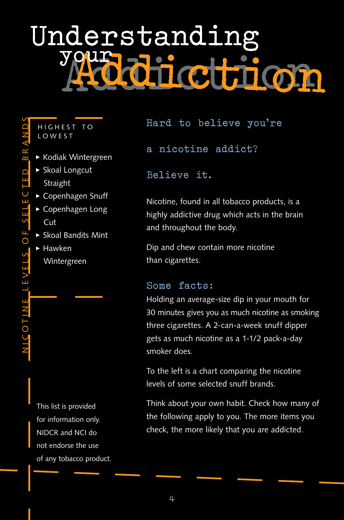# Understanding<br> **Addiction**

HIGHEST TO l o w e s t

- > Kodiak Wintergreen
- > Skoal Longcut **Straight**
- > Copenhagen Snuff
- > Copenhagen Long Cut
- > Skoal Bandits Mint
- > Hawken Wintergreen

This list is provided for information only. NIDCR and NCI do not endorse the use of any tobacco product. **Hard to believe you're** 

**a nicotine addict?** 

**Believe it.**

Nicotine, found in all tobacco products, is a highly addictive drug which acts in the brain and throughout the body.

Dip and chew contain more nicotine than cigarettes.

#### **Some facts:**

Holding an average-size dip in your mouth for 30 minutes gives you as much nicotine as smoking three cigarettes. A 2-can-a-week snuff dipper gets as much nicotine as a 1-1/2 pack-a-day smoker does.

To the left is a chart comparing the nicotine levels of some selected snuff brands.

Think about your own habit. Check how many of the following apply to you. The more items you check, the more likely that you are addicted.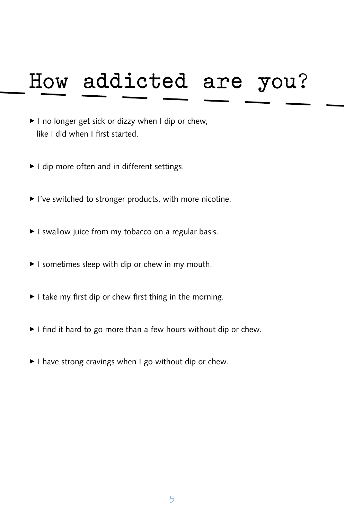### **How addicted are you?**

- I no longer get sick or dizzy when I dip or chew, like I did when I first started.
- I dip more often and in different settings.
- > I've switched to stronger products, with more nicotine.
- I swallow juice from my tobacco on a regular basis.
- I sometimes sleep with dip or chew in my mouth.
- I take my first dip or chew first thing in the morning.
- I find it hard to go more than a few hours without dip or chew.
- I have strong cravings when I go without dip or chew.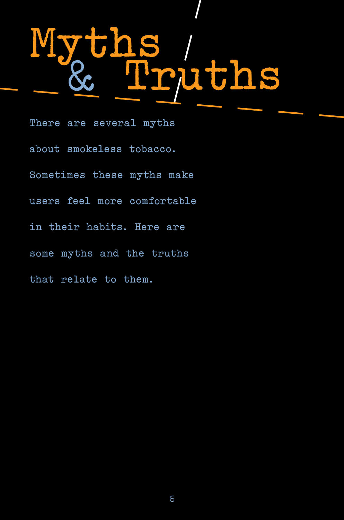# **Myths & Truths**

**There are several myths about smokeless tobacco. Sometimes these myths make users feel more comfortable in their habits. Here are some myths and the truths that relate to them.**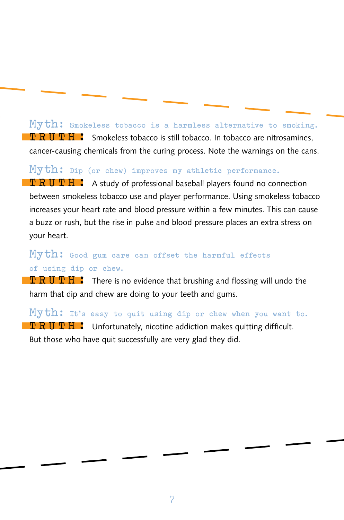**Myth: Smokeless tobacco is a harmless alternative to smoking. T R U T H :** Smokeless tobacco is still tobacco. In tobacco are nitrosamines, cancer-causing chemicals from the curing process. Note the warnings on the cans.

**Myth: Dip (or chew) improves my athletic performance. T R U T H :** A study of professional baseball players found no connection between smokeless tobacco use and player performance. Using smokeless tobacco increases your heart rate and blood pressure within a few minutes. This can cause a buzz or rush, but the rise in pulse and blood pressure places an extra stress on your heart.

**Myth: Good gum care can offset the harmful effects of using dip or chew.**

**T R U T H :** There is no evidence that brushing and flossing will undo the harm that dip and chew are doing to your teeth and gums.

**Myth: It's easy to quit using dip or chew when you want to. T R U T H :** Unfortunately, nicotine addiction makes quitting difficult. But those who have quit successfully are very glad they did.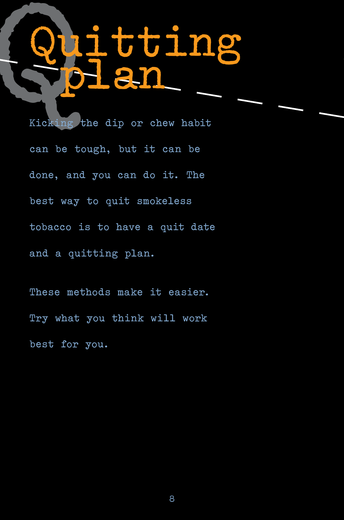# Kicking **Quitting plan**

**Kicking the dip or chew habit can be tough, but it can be done, and you can do it. The best way to quit smokeless tobacco is to have a quit date and a quitting plan.**

**These methods make it easier. Try what you think will work best for you.**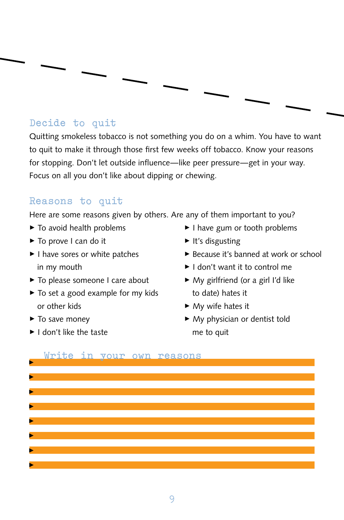

#### **Decide to quit**

Quitting smokeless tobacco is not something you do on a whim. You have to want to quit to make it through those first few weeks off tobacco. Know your reasons for stopping. Don't let outside influence—like peer pressure—get in your way. Focus on all you don't like about dipping or chewing.

#### **Reasons to quit**

Here are some reasons given by others. Are any of them important to you?

- $\blacktriangleright$  To avoid health problems
- ► To prove I can do it
- I have sores or white patches in my mouth
- ▶ To please someone I care about
- ▶ To set a good example for my kids or other kids
- $\blacktriangleright$  To save money
- ▶ I don't like the taste
- I have gum or tooth problems
- $\blacktriangleright$  It's disgusting
- ▶ Because it's banned at work or school
- ► I don't want it to control me
- ► My girlfriend (or a girl I'd like to date) hates it
- ▶ My wife hates it
- > My physician or dentist told me to quit

|   |  |  | Write in your own reasons |  |
|---|--|--|---------------------------|--|
| Þ |  |  |                           |  |
|   |  |  |                           |  |
|   |  |  |                           |  |
|   |  |  |                           |  |
|   |  |  |                           |  |
| ь |  |  |                           |  |
|   |  |  |                           |  |
| ь |  |  |                           |  |
|   |  |  |                           |  |
|   |  |  |                           |  |
|   |  |  |                           |  |
|   |  |  |                           |  |
|   |  |  |                           |  |
|   |  |  |                           |  |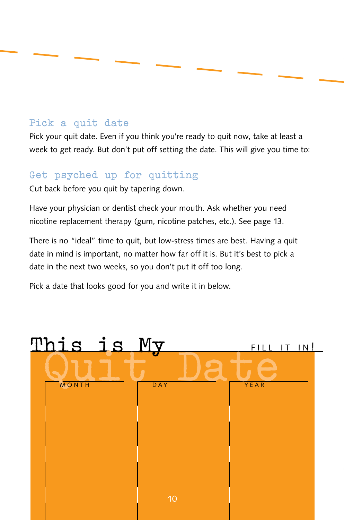#### **Pick a quit date**

Pick your quit date. Even if you think you're ready to quit now, take at least a week to get ready. But don't put off setting the date. This will give you time to:

#### Get psyched up for quitting

Cut back before you quit by tapering down.

Have your physician or dentist check your mouth. Ask whether you need nicotine replacement therapy (gum, nicotine patches, etc.). See page 13.

There is no "ideal" time to quit, but low-stress times are best. Having a quit date in mind is important, no matter how far off it is. But it's best to pick a date in the next two weeks, so you don't put it off too long.

Pick a date that looks good for you and write it in below.

| This is My |            | FILL IT IN! |
|------------|------------|-------------|
|            |            |             |
| MONTH      | <b>DAY</b> | YEAR        |
|            |            |             |
|            |            |             |
|            |            |             |
|            |            |             |
|            | 10         |             |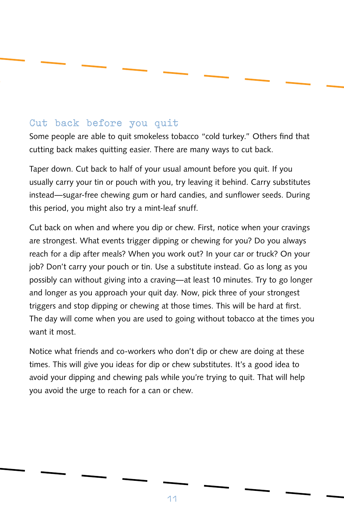#### **Cut back before you quit**

Some people are able to quit smokeless tobacco "cold turkey." Others find that cutting back makes quitting easier. There are many ways to cut back.

Taper down. Cut back to half of your usual amount before you quit. If you usually carry your tin or pouch with you, try leaving it behind. Carry substitutes instead—sugar-free chewing gum or hard candies, and sunflower seeds. During this period, you might also try a mint-leaf snuff.

Cut back on when and where you dip or chew. First, notice when your cravings are strongest. What events trigger dipping or chewing for you? Do you always reach for a dip after meals? When you work out? In your car or truck? On your job? Don't carry your pouch or tin. Use a substitute instead. Go as long as you possibly can without giving into a craving—at least 10 minutes. Try to go longer and longer as you approach your quit day. Now, pick three of your strongest triggers and stop dipping or chewing at those times. This will be hard at first. The day will come when you are used to going without tobacco at the times you want it most.

Notice what friends and co-workers who don't dip or chew are doing at these times. This will give you ideas for dip or chew substitutes. It's a good idea to avoid your dipping and chewing pals while you're trying to quit. That will help you avoid the urge to reach for a can or chew.

**11**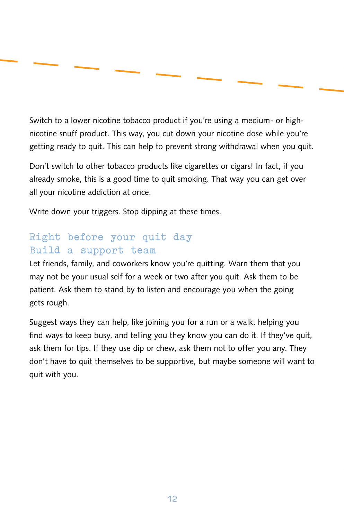Switch to a lower nicotine tobacco product if you're using a medium- or highnicotine snuff product. This way, you cut down your nicotine dose while you're getting ready to quit. This can help to prevent strong withdrawal when you quit.

Don't switch to other tobacco products like cigarettes or cigars! In fact, if you already smoke, this is a good time to quit smoking. That way you can get over all your nicotine addiction at once.

Write down your triggers. Stop dipping at these times.

#### **Right before your quit day Build a support team**

Let friends, family, and coworkers know you're quitting. Warn them that you may not be your usual self for a week or two after you quit. Ask them to be patient. Ask them to stand by to listen and encourage you when the going gets rough.

Suggest ways they can help, like joining you for a run or a walk, helping you find ways to keep busy, and telling you they know you can do it. If they've quit, ask them for tips. If they use dip or chew, ask them not to offer you any. They don't have to quit themselves to be supportive, but maybe someone will want to quit with you.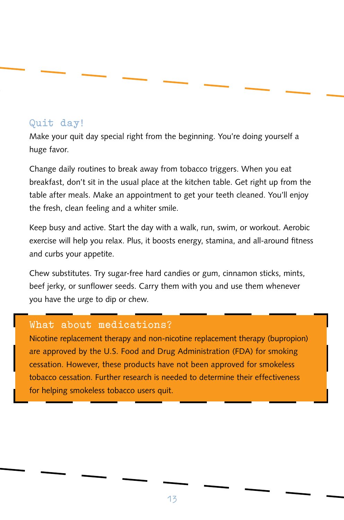#### **Quit day!**

Make your quit day special right from the beginning. You're doing yourself a huge favor.

Change daily routines to break away from tobacco triggers. When you eat breakfast, don't sit in the usual place at the kitchen table. Get right up from the table after meals. Make an appointment to get your teeth cleaned. You'll enjoy the fresh, clean feeling and a whiter smile.

Keep busy and active. Start the day with a walk, run, swim, or workout. Aerobic exercise will help you relax. Plus, it boosts energy, stamina, and all-around fitness and curbs your appetite.

Chew substitutes. Try sugar-free hard candies or gum, cinnamon sticks, mints, beef jerky, or sunflower seeds. Carry them with you and use them whenever you have the urge to dip or chew.

#### **What about medications?**

Nicotine replacement therapy and non-nicotine replacement therapy (bupropion) are approved by the U.S. Food and Drug Administration (FDA) for smoking cessation. However, these products have not been approved for smokeless tobacco cessation. Further research is needed to determine their effectiveness for helping smokeless tobacco users quit.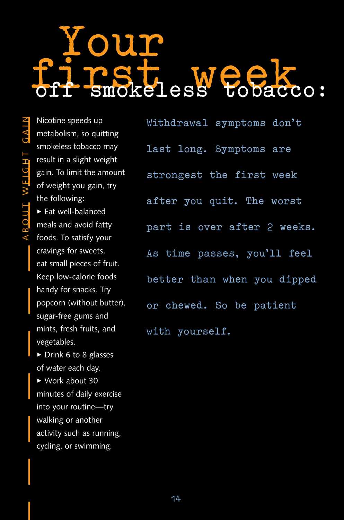## **Your**  first week.

ABOUT WEIGHT GAIN a b o u t w e i g h t g a i n

Nicotine speeds up metabolism, so quitting smokeless tobacco may result in a slight weight gain. To limit the amount of weight you gain, try the following: > Eat well-balanced meals and avoid fatty foods. To satisfy your cravings for sweets, eat small pieces of fruit. Keep low-calorie foods handy for snacks. Try popcorn (without butter), sugar-free gums and mints, fresh fruits, and vegetables. ▶ Drink 6 to 8 glasses of water each day. > Work about 30 minutes of daily exercise into your routine—try walking or another activity such as running, cycling, or swimming.

**Withdrawal symptoms don't last long. Symptoms are strongest the first week after you quit. The worst part is over after 2 weeks. As time passes, you'll feel better than when you dipped or chewed. So be patient with yourself.**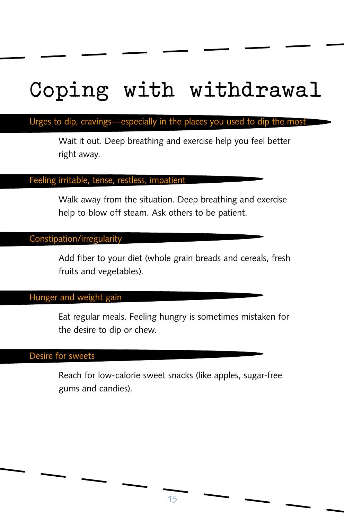### Coping with withdrawal

#### Urges to dip, cravings—especially in the places you used to dip the most

Wait it out. Deep breathing and exercise help you feel better right away.

#### Feeling irritable, tense, restless, impatient

Walk away from the situation. Deep breathing and exercise help to blow off steam. Ask others to be patient.

#### Constipation/irregularity

Add fiber to your diet (whole grain breads and cereals, fresh fruits and vegetables).

#### Hunger and weight gain

Eat regular meals. Feeling hungry is sometimes mistaken for the desire to dip or chew.

#### Desire for sweets

Reach for low-calorie sweet snacks (like apples, sugar-free gums and candies).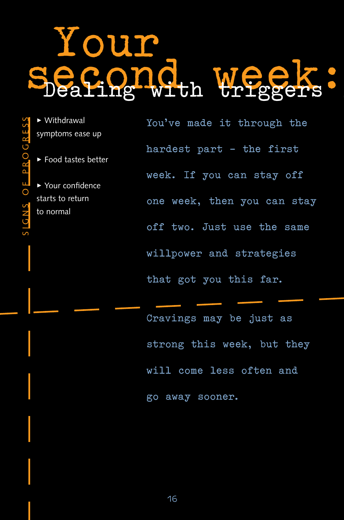## **Your second week: Dealing with triggers**

> Withdrawal symptoms ease up

► Food tastes better

▶ Your confidence starts to return to normal

**You've made it through the hardest part - the first week. If you can stay off one week, then you can stay off two. Just use the same willpower and strategies that got you this far.**

**Cravings may be just as strong this week, but they will come less often and go away sooner.**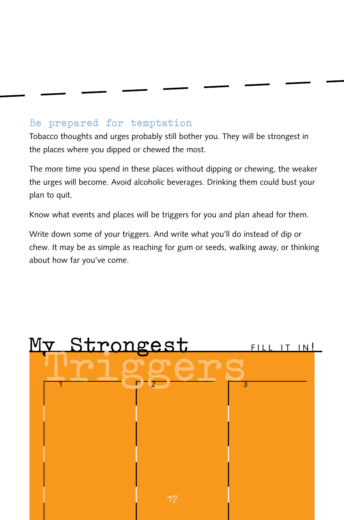#### **Be prepared for temptation**

**second week:**

Tobacco thoughts and urges probably still bother you. They will be strongest in the places where you dipped or chewed the most.

The more time you spend in these places without dipping or chewing, the weaker the urges will become. Avoid alcoholic beverages. Drinking them could bust your plan to quit.

Know what events and places will be triggers for you and plan ahead for them.

Write down some of your triggers. And write what you'll do instead of dip or chew. It may be as simple as reaching for gum or seeds, walking away, or thinking about how far you've come.

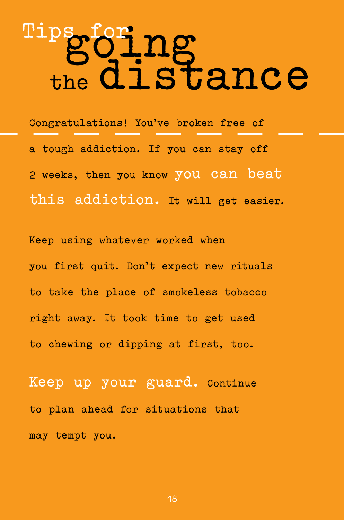## **going the distance Tips for**

**Congratulations! You've broken free of a tough addiction. If you can stay off 2 weeks, then you know you can beat this addiction. It will get easier.**

**Keep using whatever worked when you first quit. Don't expect new rituals to take the place of smokeless tobacco right away. It took time to get used to chewing or dipping at first, too.**

**Keep up your guard. Continue to plan ahead for situations that may tempt you.**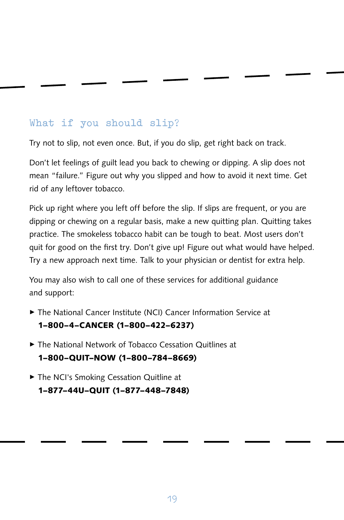#### **What if you should slip?**

Try not to slip, not even once. But, if you do slip, get right back on track.

Don't let feelings of guilt lead you back to chewing or dipping. A slip does not mean "failure." Figure out why you slipped and how to avoid it next time. Get rid of any leftover tobacco.

Pick up right where you left off before the slip. If slips are frequent, or you are dipping or chewing on a regular basis, make a new quitting plan. Quitting takes practice. The smokeless tobacco habit can be tough to beat. Most users don't quit for good on the first try. Don't give up! Figure out what would have helped. Try a new approach next time. Talk to your physician or dentist for extra help.

You may also wish to call one of these services for additional guidance and support:

- > The National Cancer Institute (NCI) Cancer Information Service at 1–800–4–CANCER (1–800–422–6237)
- > The National Network of Tobacco Cessation Quitlines at 1–800–QUIT–NOW (1–800–784–8669)
- ▶ The NCI's Smoking Cessation Quitline at 1–877–44U–QUIT (1–877–448–7848)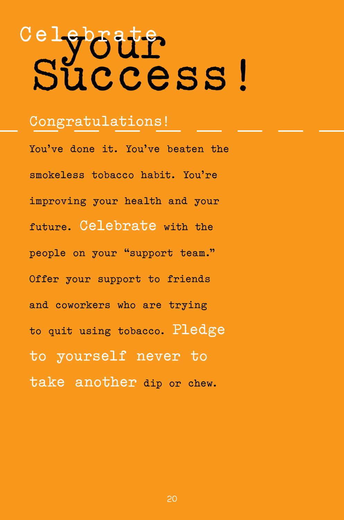## **your Success! Celebrate**

#### **Congratulations!**

**You've done it. You've beaten the smokeless tobacco habit. You're improving your health and your future. Celebrate with the people on your "support team." Offer your support to friends and coworkers who are trying to quit using tobacco. Pledge to yourself never to take another dip or chew.**